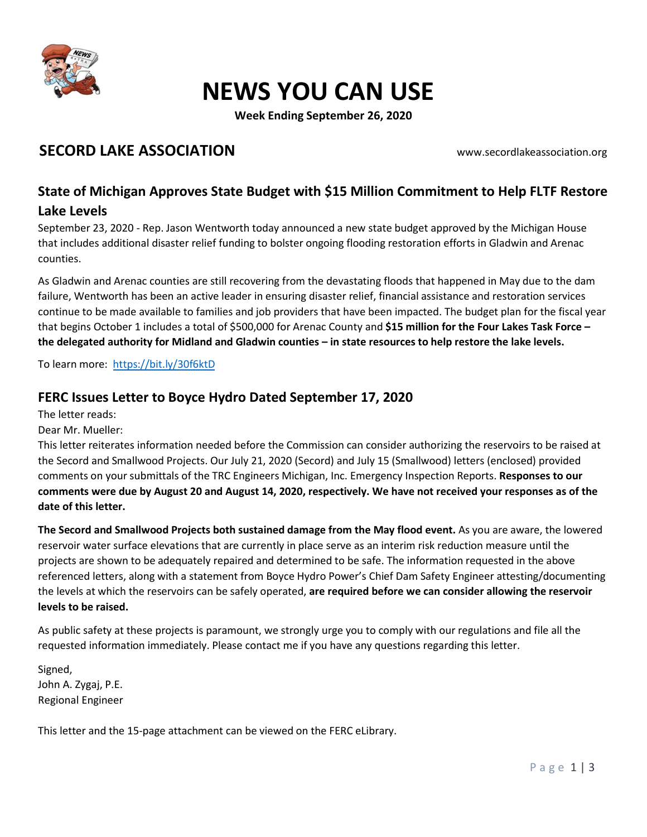

## NEWS YOU CAN USE

Week Ending September 26, 2020

### SECORD LAKE ASSOCIATION WWW.secordlakeassociation.org

### State of Michigan Approves State Budget with \$15 Million Commitment to Help FLTF Restore

#### Lake Levels

September 23, 2020 - Rep. Jason Wentworth today announced a new state budget approved by the Michigan House that includes additional disaster relief funding to bolster ongoing flooding restoration efforts in Gladwin and Arenac counties.

As Gladwin and Arenac counties are still recovering from the devastating floods that happened in May due to the dam failure, Wentworth has been an active leader in ensuring disaster relief, financial assistance and restoration services continue to be made available to families and job providers that have been impacted. The budget plan for the fiscal year that begins October 1 includes a total of \$500,000 for Arenac County and \$15 million for the Four Lakes Task Force – the delegated authority for Midland and Gladwin counties – in state resources to help restore the lake levels.

To learn more: https://bit.ly/30f6ktD

### FERC Issues Letter to Boyce Hydro Dated September 17, 2020

The letter reads:

Dear Mr. Mueller:

This letter reiterates information needed before the Commission can consider authorizing the reservoirs to be raised at the Secord and Smallwood Projects. Our July 21, 2020 (Secord) and July 15 (Smallwood) letters (enclosed) provided comments on your submittals of the TRC Engineers Michigan, Inc. Emergency Inspection Reports. Responses to our comments were due by August 20 and August 14, 2020, respectively. We have not received your responses as of the date of this letter.

The Secord and Smallwood Projects both sustained damage from the May flood event. As you are aware, the lowered reservoir water surface elevations that are currently in place serve as an interim risk reduction measure until the projects are shown to be adequately repaired and determined to be safe. The information requested in the above referenced letters, along with a statement from Boyce Hydro Power's Chief Dam Safety Engineer attesting/documenting the levels at which the reservoirs can be safely operated, are required before we can consider allowing the reservoir levels to be raised.

As public safety at these projects is paramount, we strongly urge you to comply with our regulations and file all the requested information immediately. Please contact me if you have any questions regarding this letter.

Signed, John A. Zygaj, P.E. Regional Engineer

This letter and the 15-page attachment can be viewed on the FERC eLibrary.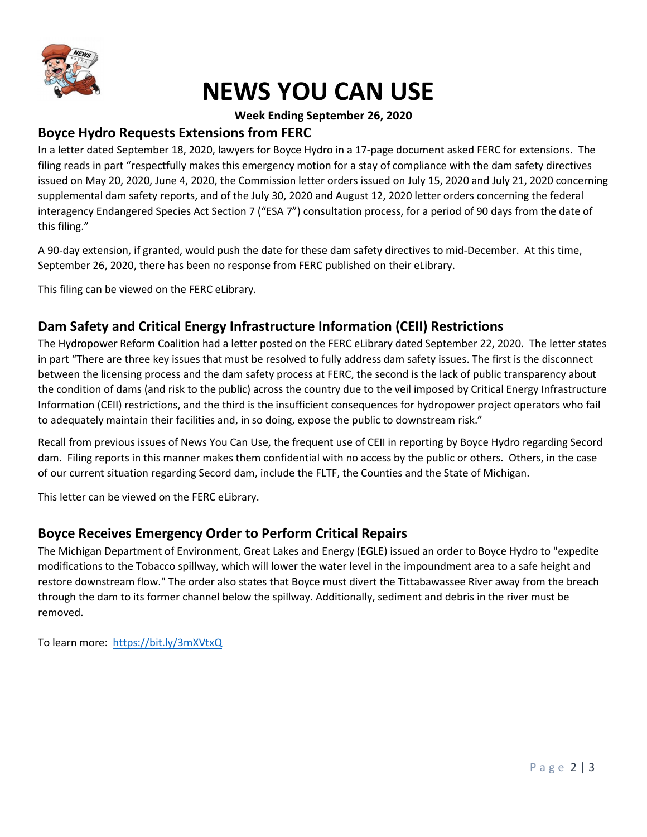

# NEWS YOU CAN USE

#### Week Ending September 26, 2020

#### Boyce Hydro Requests Extensions from FERC

In a letter dated September 18, 2020, lawyers for Boyce Hydro in a 17-page document asked FERC for extensions. The filing reads in part "respectfully makes this emergency motion for a stay of compliance with the dam safety directives issued on May 20, 2020, June 4, 2020, the Commission letter orders issued on July 15, 2020 and July 21, 2020 concerning supplemental dam safety reports, and of the July 30, 2020 and August 12, 2020 letter orders concerning the federal interagency Endangered Species Act Section 7 ("ESA 7") consultation process, for a period of 90 days from the date of this filing."

A 90-day extension, if granted, would push the date for these dam safety directives to mid-December. At this time, September 26, 2020, there has been no response from FERC published on their eLibrary.

This filing can be viewed on the FERC eLibrary.

### Dam Safety and Critical Energy Infrastructure Information (CEII) Restrictions

The Hydropower Reform Coalition had a letter posted on the FERC eLibrary dated September 22, 2020. The letter states in part "There are three key issues that must be resolved to fully address dam safety issues. The first is the disconnect between the licensing process and the dam safety process at FERC, the second is the lack of public transparency about the condition of dams (and risk to the public) across the country due to the veil imposed by Critical Energy Infrastructure Information (CEII) restrictions, and the third is the insufficient consequences for hydropower project operators who fail to adequately maintain their facilities and, in so doing, expose the public to downstream risk."

Recall from previous issues of News You Can Use, the frequent use of CEII in reporting by Boyce Hydro regarding Secord dam. Filing reports in this manner makes them confidential with no access by the public or others. Others, in the case of our current situation regarding Secord dam, include the FLTF, the Counties and the State of Michigan.

This letter can be viewed on the FERC eLibrary.

### Boyce Receives Emergency Order to Perform Critical Repairs

The Michigan Department of Environment, Great Lakes and Energy (EGLE) issued an order to Boyce Hydro to "expedite modifications to the Tobacco spillway, which will lower the water level in the impoundment area to a safe height and restore downstream flow." The order also states that Boyce must divert the Tittabawassee River away from the breach through the dam to its former channel below the spillway. Additionally, sediment and debris in the river must be removed.

To learn more: https://bit.ly/3mXVtxQ